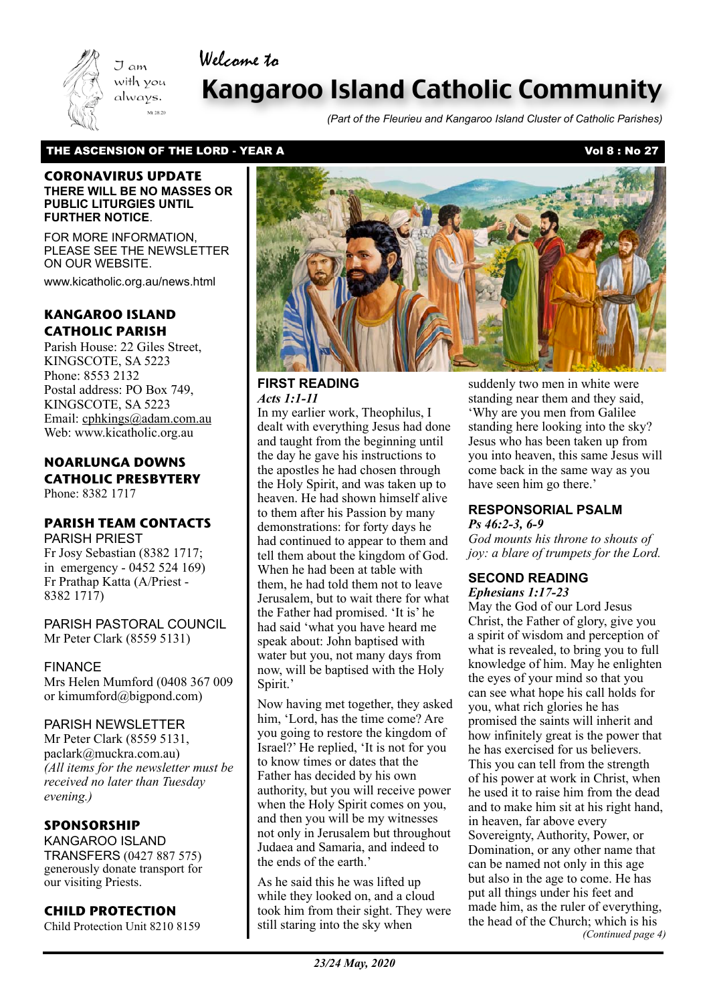# Welcome to



# Kangaroo Island Catholic Community

*(Part of the Fleurieu and Kangaroo Island Cluster of Catholic Parishes)*

## THE ASCENSION OF THE LORD - YEAR A Vol 8 : No 27

#### **CORONAVIRUS UPDATE THERE WILL BE NO MASSES OR PUBLIC LITURGIES UNTIL FURTHER NOTICE**.

FOR MORE INFORMATION, PLEASE SEE THE NEWSLETTER ON OUR WEBSITE.

www.kicatholic.org.au/news.html

# **KANGAROO ISLAND CATHOLIC PARISH**

Parish House: 22 Giles Street, KINGSCOTE, SA 5223 Phone: 8553 2132 Postal address: PO Box 749, KINGSCOTE, SA 5223 Email: cphkings@adam.com.au Web: www.kicatholic.org.au

# **NOARLUNGA DOWNS CATHOLIC PRESBYTERY**

Phone: 8382 1717

# **PARISH TEAM CONTACTS**

PARISH PRIEST Fr Josy Sebastian (8382 1717; in emergency - 0452 524 169) Fr Prathap Katta (A/Priest - 8382 1717)

PARISH PASTORAL COUNCIL Mr Peter Clark (8559 5131)

### FINANCE

Mrs Helen Mumford (0408 367 009 or kimumford@bigpond.com)

### PARISH NEWSLETTER

Mr Peter Clark (8559 5131, paclark@muckra.com.au) *(All items for the newsletter must be received no later than Tuesday evening.)*

## **SPONSORSHIP**

KANGAROO ISLAND TRANSFERS (0427 887 575) generously donate transport for our visiting Priests.

## **CHILD PROTECTION**

Child Protection Unit 8210 8159



#### **FIRST READING** *Acts 1:1-11*

In my earlier work, Theophilus, I dealt with everything Jesus had done and taught from the beginning until the day he gave his instructions to the apostles he had chosen through the Holy Spirit, and was taken up to heaven. He had shown himself alive to them after his Passion by many demonstrations: for forty days he had continued to appear to them and tell them about the kingdom of God. When he had been at table with them, he had told them not to leave Jerusalem, but to wait there for what the Father had promised. 'It is' he had said 'what you have heard me speak about: John baptised with water but you, not many days from now, will be baptised with the Holy Spirit.'

Now having met together, they asked him, 'Lord, has the time come? Are you going to restore the kingdom of Israel?' He replied, 'It is not for you to know times or dates that the Father has decided by his own authority, but you will receive power when the Holy Spirit comes on you, and then you will be my witnesses not only in Jerusalem but throughout Judaea and Samaria, and indeed to the ends of the earth.'

As he said this he was lifted up while they looked on, and a cloud took him from their sight. They were still staring into the sky when

suddenly two men in white were standing near them and they said, 'Why are you men from Galilee standing here looking into the sky? Jesus who has been taken up from you into heaven, this same Jesus will come back in the same way as you have seen him go there.'

#### **RESPONSORIAL PSALM** *Ps 46:2-3, 6-9*

*God mounts his throne to shouts of joy: a blare of trumpets for the Lord.*

# **SECOND READING**

### *Ephesians 1:17-23*

May the God of our Lord Jesus Christ, the Father of glory, give you a spirit of wisdom and perception of what is revealed, to bring you to full knowledge of him. May he enlighten the eyes of your mind so that you can see what hope his call holds for you, what rich glories he has promised the saints will inherit and how infinitely great is the power that he has exercised for us believers. This you can tell from the strength of his power at work in Christ, when he used it to raise him from the dead and to make him sit at his right hand, in heaven, far above every Sovereignty, Authority, Power, or Domination, or any other name that can be named not only in this age but also in the age to come. He has put all things under his feet and made him, as the ruler of everything, the head of the Church; which is his *(Continued page 4)*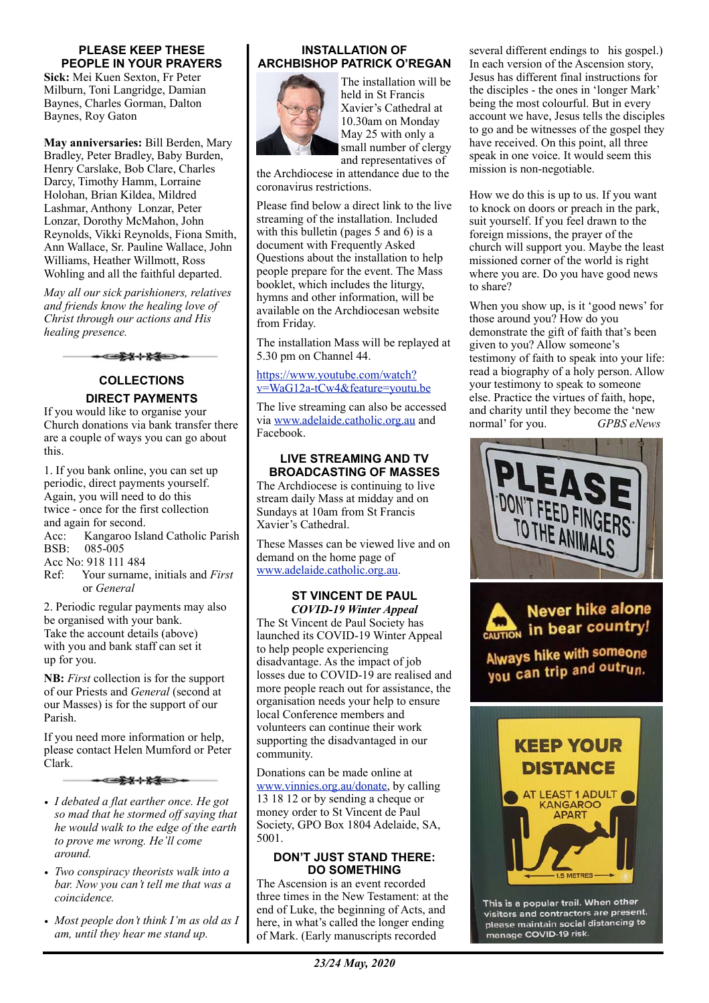#### **PLEASE KEEP THESE PEOPLE IN YOUR PRAYERS**

**Sick:** Mei Kuen Sexton, Fr Peter Milburn, Toni Langridge, Damian Baynes, Charles Gorman, Dalton Baynes, Roy Gaton

**May anniversaries:** Bill Berden, Mary Bradley, Peter Bradley, Baby Burden, Henry Carslake, Bob Clare, Charles Darcy, Timothy Hamm, Lorraine Holohan, Brian Kildea, Mildred Lashmar, Anthony Lonzar, Peter Lonzar, Dorothy McMahon, John Reynolds, Vikki Reynolds, Fiona Smith, Ann Wallace, Sr. Pauline Wallace, John Williams, Heather Willmott, Ross Wohling and all the faithful departed.

*May all our sick parishioners, relatives and friends know the healing love of Christ through our actions and His healing presence.*



**DIRECT PAYMENTS**

If you would like to organise your Church donations via bank transfer there are a couple of ways you can go about this.

1. If you bank online, you can set up periodic, direct payments yourself. Again, you will need to do this twice - once for the first collection and again for second. Acc: Kangaroo Island Catholic Parish BSB: 085-005 Acc No: 918 111 484

Ref: Your surname, initials and *First* or *General*

2. Periodic regular payments may also be organised with your bank. Take the account details (above) with you and bank staff can set it up for you.

**NB:** *First* collection is for the support of our Priests and *General* (second at our Masses) is for the support of our Parish.

If you need more information or help, please contact Helen Mumford or Peter Clark.

 $+$   $+$   $+$   $+$   $-$ 

- *• I debated a flat earther once. He got so mad that he stormed off saying that he would walk to the edge of the earth to prove me wrong. He'll come around.*
- *• Two conspiracy theorists walk into a bar. Now you can't tell me that was a coincidence.*
- *• Most people don't think I'm as old as I am, until they hear me stand up.*

### **INSTALLATION OF ARCHBISHOP PATRICK O'REGAN**



The installation will be held in St Francis Xavier's Cathedral at 10.30am on Monday May 25 with only a small number of clergy and representatives of

the Archdiocese in attendance due to the coronavirus restrictions.

Please find below a direct link to the live streaming of the installation. Included with this bulletin (pages 5 and 6) is a document with Frequently Asked Questions about the installation to help people prepare for the event. The Mass booklet, which includes the liturgy, hymns and other information, will be available on the Archdiocesan website from Friday.

The installation Mass will be replayed at 5.30 pm on Channel 44.

#### [https://www.youtube.com/watch?](https://www.youtube.com/watch?v=WaG12a-tCw4&feature=youtu.be) [v=WaG12a-tCw4&feature=youtu.be](https://www.youtube.com/watch?v=WaG12a-tCw4&feature=youtu.be)

The live streaming can also be accessed via [www.adelaide.catholic.org.au](http://www.adelaide.catholic.org.au/) and Facebook.

#### **LIVE STREAMING AND TV BROADCASTING OF MASSES**

The Archdiocese is continuing to live stream daily Mass at midday and on Sundays at 10am from St Francis Xavier's Cathedral.

These Masses can be viewed live and on demand on the home page of [www.adelaide.catholic.org.au.](http://www.adelaide.catholic.org.au)

#### **ST VINCENT DE PAUL**  *COVID-19 Winter Appeal*

The St Vincent de Paul Society has launched its COVID-19 Winter Appeal to help people experiencing disadvantage. As the impact of job losses due to COVID-19 are realised and more people reach out for assistance, the organisation needs your help to ensure local Conference members and volunteers can continue their work supporting the disadvantaged in our community.

Donations can be made online at [www.vinnies.org.au/donate,](http://www.vinnies.org.au/donate) by calling 13 18 12 or by sending a cheque or money order to St Vincent de Paul Society, GPO Box 1804 Adelaide, SA, 5001.

#### **DON'T JUST STAND THERE: DO SOMETHING**

The Ascension is an event recorded three times in the New Testament: at the end of Luke, the beginning of Acts, and here, in what's called the longer ending of Mark. (Early manuscripts recorded

several different endings to his gospel.) In each version of the Ascension story, Jesus has different final instructions for the disciples - the ones in 'longer Mark' being the most colourful. But in every account we have, Jesus tells the disciples to go and be witnesses of the gospel they have received. On this point, all three speak in one voice. It would seem this mission is non-negotiable.

How we do this is up to us. If you want to knock on doors or preach in the park, suit yourself. If you feel drawn to the foreign missions, the prayer of the church will support you. Maybe the least missioned corner of the world is right where you are. Do you have good news to share?

When you show up, is it 'good news' for those around you? How do you demonstrate the gift of faith that's been given to you? Allow someone's testimony of faith to speak into your life: read a biography of a holy person. Allow your testimony to speak to someone else. Practice the virtues of faith, hope, and charity until they become the 'new normal' for you. *GPBS eNews*





Always hike with someone Niways like with outrun.



This is a popular trail. When other visitors and contractors are present, please maintain social distancing to manage COVID-19 risk.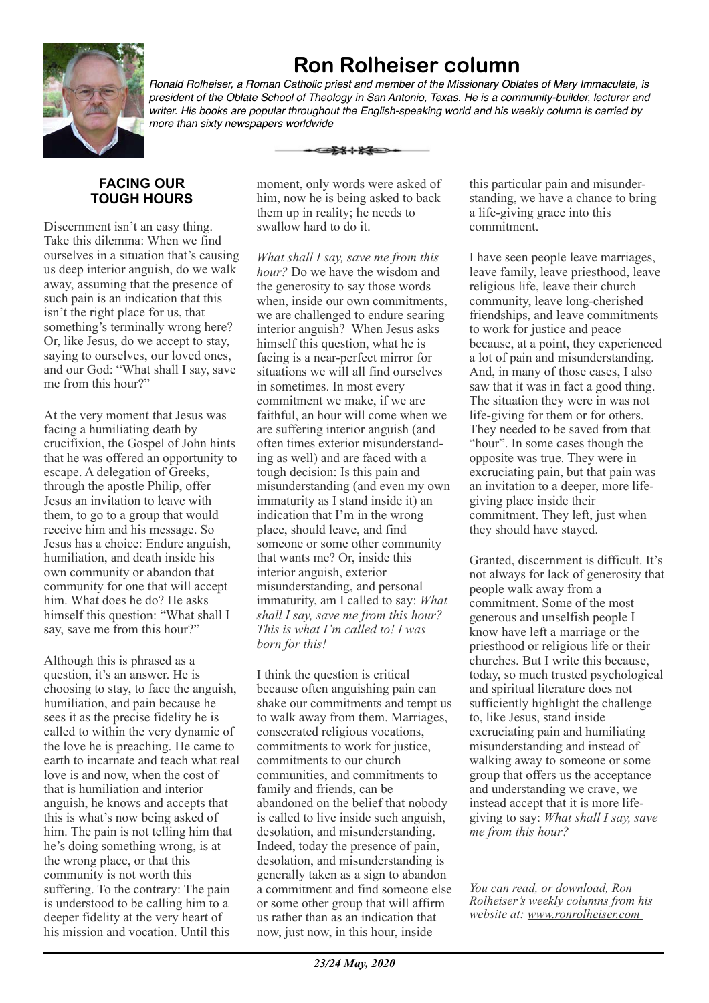

# **Ron Rolheiser column**

*Ronald Rolheiser, a Roman Catholic priest and member of the Missionary Oblates of Mary Immaculate, is president of the Oblate School of Theology in San Antonio, Texas. He is a community-builder, lecturer and writer. His books are popular throughout the English-speaking world and his weekly column is carried by more than sixty newspapers worldwide*

# **FACING OUR TOUGH HOURS**

Discernment isn't an easy thing. Take this dilemma: When we find ourselves in a situation that's causing us deep interior anguish, do we walk away, assuming that the presence of such pain is an indication that this isn't the right place for us, that something's terminally wrong here? Or, like Jesus, do we accept to stay, saying to ourselves, our loved ones, and our God: "What shall I say, save me from this hour?"

At the very moment that Jesus was facing a humiliating death by crucifixion, the Gospel of John hints that he was offered an opportunity to escape. A delegation of Greeks, through the apostle Philip, offer Jesus an invitation to leave with them, to go to a group that would receive him and his message. So Jesus has a choice: Endure anguish, humiliation, and death inside his own community or abandon that community for one that will accept him. What does he do? He asks himself this question: "What shall I say, save me from this hour?"

Although this is phrased as a question, it's an answer. He is choosing to stay, to face the anguish, humiliation, and pain because he sees it as the precise fidelity he is called to within the very dynamic of the love he is preaching. He came to earth to incarnate and teach what real love is and now, when the cost of that is humiliation and interior anguish, he knows and accepts that this is what's now being asked of him. The pain is not telling him that he's doing something wrong, is at the wrong place, or that this community is not worth this suffering. To the contrary: The pain is understood to be calling him to a deeper fidelity at the very heart of his mission and vocation. Until this

moment, only words were asked of him, now he is being asked to back them up in reality; he needs to swallow hard to do it.

</u>

*What shall I say, save me from this hour?* Do we have the wisdom and the generosity to say those words when, inside our own commitments, we are challenged to endure searing interior anguish? When Jesus asks himself this question, what he is facing is a near-perfect mirror for situations we will all find ourselves in sometimes. In most every commitment we make, if we are faithful, an hour will come when we are suffering interior anguish (and often times exterior misunderstanding as well) and are faced with a tough decision: Is this pain and misunderstanding (and even my own immaturity as I stand inside it) an indication that I'm in the wrong place, should leave, and find someone or some other community that wants me? Or, inside this interior anguish, exterior misunderstanding, and personal immaturity, am I called to say: *What shall I say, save me from this hour? This is what I'm called to! I was born for this!*

I think the question is critical because often anguishing pain can shake our commitments and tempt us to walk away from them. Marriages, consecrated religious vocations, commitments to work for justice, commitments to our church communities, and commitments to family and friends, can be abandoned on the belief that nobody is called to live inside such anguish, desolation, and misunderstanding. Indeed, today the presence of pain, desolation, and misunderstanding is generally taken as a sign to abandon a commitment and find someone else or some other group that will affirm us rather than as an indication that now, just now, in this hour, inside

this particular pain and misunderstanding, we have a chance to bring a life-giving grace into this commitment.

I have seen people leave marriages, leave family, leave priesthood, leave religious life, leave their church community, leave long-cherished friendships, and leave commitments to work for justice and peace because, at a point, they experienced a lot of pain and misunderstanding. And, in many of those cases, I also saw that it was in fact a good thing. The situation they were in was not life-giving for them or for others. They needed to be saved from that "hour". In some cases though the opposite was true. They were in excruciating pain, but that pain was an invitation to a deeper, more lifegiving place inside their commitment. They left, just when they should have stayed.

Granted, discernment is difficult. It's not always for lack of generosity that people walk away from a commitment. Some of the most generous and unselfish people I know have left a marriage or the priesthood or religious life or their churches. But I write this because, today, so much trusted psychological and spiritual literature does not sufficiently highlight the challenge to, like Jesus, stand inside excruciating pain and humiliating misunderstanding and instead of walking away to someone or some group that offers us the acceptance and understanding we crave, we instead accept that it is more lifegiving to say: *What shall I say, save me from this hour?*

*You can read, or download, Ron Rolheiser's weekly columns from his website at: www.ronrolheiser.com*